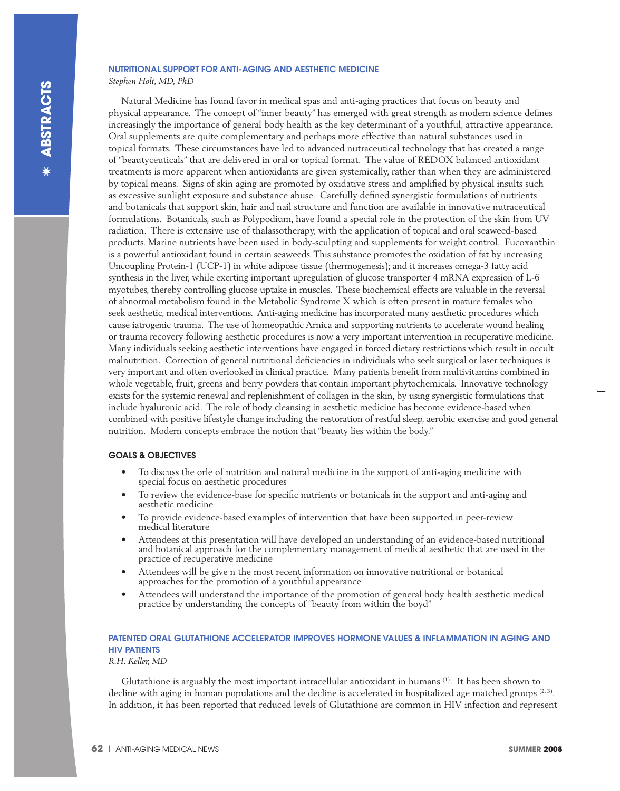#### NUTRITIONAL SUPPORT FOR ANTI-AGING AND AESTHETIC MEDICINE

*Stephen Holt, MD, PhD*

Natural Medicine has found favor in medical spas and anti-aging practices that focus on beauty and physical appearance. The concept of "inner beauty" has emerged with great strength as modern science defines increasingly the importance of general body health as the key determinant of a youthful, attractive appearance. Oral supplements are quite complementary and perhaps more effective than natural substances used in topical formats. These circumstances have led to advanced nutraceutical technology that has created a range of "beautyceuticals" that are delivered in oral or topical format. The value of REDOX balanced antioxidant treatments is more apparent when antioxidants are given systemically, rather than when they are administered by topical means. Signs of skin aging are promoted by oxidative stress and amplified by physical insults such as excessive sunlight exposure and substance abuse. Carefully defined synergistic formulations of nutrients and botanicals that support skin, hair and nail structure and function are available in innovative nutraceutical formulations. Botanicals, such as Polypodium, have found a special role in the protection of the skin from UV radiation. There is extensive use of thalassotherapy, with the application of topical and oral seaweed-based products. Marine nutrients have been used in body-sculpting and supplements for weight control. Fucoxanthin is a powerful antioxidant found in certain seaweeds. This substance promotes the oxidation of fat by increasing Uncoupling Protein-1 (UCP-1) in white adipose tissue (thermogenesis); and it increases omega-3 fatty acid synthesis in the liver, while exerting important upregulation of glucose transporter 4 mRNA expression of L-6 myotubes, thereby controlling glucose uptake in muscles. These biochemical effects are valuable in the reversal of abnormal metabolism found in the Metabolic Syndrome X which is often present in mature females who seek aesthetic, medical interventions. Anti-aging medicine has incorporated many aesthetic procedures which cause iatrogenic trauma. The use of homeopathic Arnica and supporting nutrients to accelerate wound healing or trauma recovery following aesthetic procedures is now a very important intervention in recuperative medicine. Many individuals seeking aesthetic interventions have engaged in forced dietary restrictions which result in occult malnutrition. Correction of general nutritional deficiencies in individuals who seek surgical or laser techniques is very important and often overlooked in clinical practice. Many patients benefit from multivitamins combined in whole vegetable, fruit, greens and berry powders that contain important phytochemicals. Innovative technology exists for the systemic renewal and replenishment of collagen in the skin, by using synergistic formulations that include hyaluronic acid. The role of body cleansing in aesthetic medicine has become evidence-based when combined with positive lifestyle change including the restoration of restful sleep, aerobic exercise and good general nutrition. Modern concepts embrace the notion that "beauty lies within the body."

### GOALS & OBJECTIVES

- To discuss the orle of nutrition and natural medicine in the support of anti-aging medicine with special focus on aesthetic procedures
- To review the evidence-base for specific nutrients or botanicals in the support and anti-aging and aesthetic medicine
- To provide evidence-based examples of intervention that have been supported in peer-review medical literature
- Attendees at this presentation will have developed an understanding of an evidence-based nutritional and botanical approach for the complementary management of medical aesthetic that are used in the practice of recuperative medicine
- Attendees will be give n the most recent information on innovative nutritional or botanical approaches for the promotion of a youthful appearance
- Attendees will understand the importance of the promotion of general body health aesthetic medical practice by understanding the concepts of "beauty from within the boyd"

## PATENTED ORAL GLUTATHIONE ACCELERATOR IMPROVES HORMONE VALUES & INFLAMMATION IN AGING AND HIV PATIENTS

*R.H. Keller, MD*

Glutathione is arguably the most important intracellular antioxidant in humans (1). It has been shown to decline with aging in human populations and the decline is accelerated in hospitalized age matched groups  $(2, 3)$ . In addition, it has been reported that reduced levels of Glutathione are common in HIV infection and represent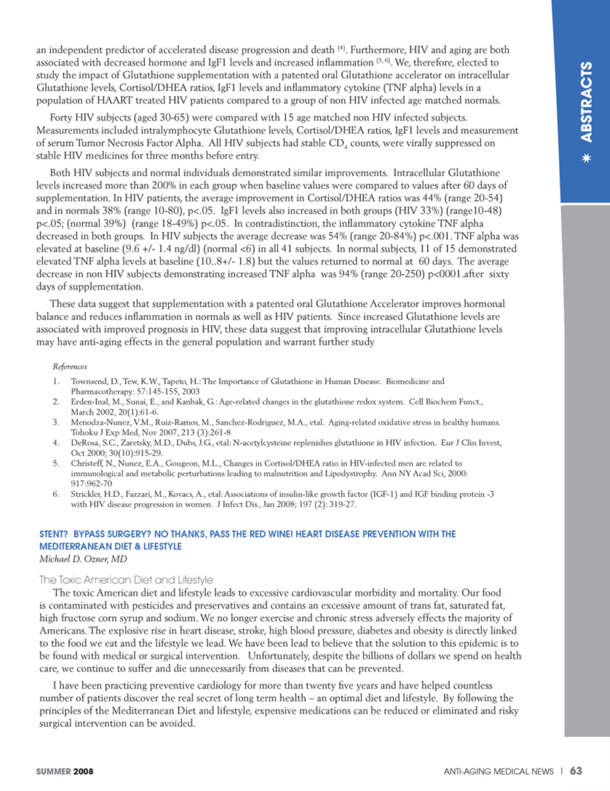an independent predictor of accelerated disease progression and death <sup>(4)</sup>. Furthermore, HIV and aging are both associated with decreased hormone and IgF1 levels and increased inflammation <sup>(5,6)</sup>. We, therefore, elected to study the impact of Glutathione supplementation with a patented oral Glutathione accelerator on intracellular Glutathione levels, Cortisol/DHEA ratios, IgF1 levels and inflammatory cytokine (TNF alpha) levels in a population of HAART treated HIV patients compared to a group of non HIV infected age matched normals.

Forty HIV subjects (aged 30-65) were compared with 15 age matched non HIV infected subjects. Measurements included intralymphocyte Glutathione levels, Cortisol/DHEA ratios, IgF1 levels and measurement of serum Tumor Necrosis Factor Alpha. All HIV subjects had stable CD, counts, were virally suppressed on stable HIV medicines for three months before entry.

Both HIV subjects and normal individuals demonstrated similar improvements. Intracellular Glutathione levels increased more than 200% in each group when baseline values were compared to values after 60 days of supplementation. In HIV patients, the average improvement in Cortisol/DHEA ratios was 44% (range 20-54) and in normals 38% (range 10-80), p<.05. IgF1 levels also increased in both groups (HIV 33%) (range10-48)  $p$ <.05; (normal 39%) (range 18-49%)  $p$ <.05. In contradistinction, the inflammatory cytokine TNF alpha decreased in both groups. In HIV subjects the average decrease was 54% (range 20-84%) p<.001. TNF alpha was elevated at baseline (9.6 +/- 1.4 ng/dl) (normal <6) in all 41 subjects. In normal subjects, 11 of 15 demonstrated elevated TNF alpha levels at baseline (10..8+/-1.8) but the values returned to normal at 60 days. The average decrease in non HIV subjects demonstrating increased TNF alpha was 94% (range 20-250) p<0001.after sixty days of supplementation.

These data suggest that supplementation with a patented oral Glutathione Accelerator improves hormonal balance and reduces inflammation in normals as well as HIV patients. Since increased Glutathione levels are associated with improved prognosis in HIV, these data suggest that improving intracellular Glutathione levels may have anti-aging effects in the general population and warrant further study

#### References

- $\mathbf{L}$ Townsend, D., Tew, K.W., Tapeto, H.: The Importance of Glutathione in Human Disease. Biomedicine and Pharmacotherapy: 57:145-155, 2003
- $\overline{2}$ Erden-Inal, M., Sunai, E., and Kanbak, G.: Age-related changes in the glutathione redox system. Cell Biochem Funct., March 2002. 20(1):61-6.
- Menodza-Nunez, V.M., Ruiz-Ramos, M., Sanchez-Rodriguez, M.A., etal. Aging-related oxidative stress in healthy humans. 3. Tohoku J Exp Med, Nov 2007, 213 (3):261-8
- DeRosa, S.C., Zaretsky, M.D., Dubs, J.G., etal: N-acetylcysteine replenishes glutathione in HIV infection. Eur J Clin Invest, 4. Oct 2000; 30(10):915-29.
- Christeff, N., Nunez, E.A., Gougeon, M.L., Changes in Cortisol/DHEA ratio in HIV-infected men are related to 5. immunological and metabolic perturbations leading to malnutrition and Lipodystrophy. Ann NY Acad Sci, 2000: 917:962-70
- Strickler, H.D., Fazzari, M., Kovacs, A., etal: Associations of insulin-like growth factor (IGF-1) and IGF binding protein -3 6. with HIV disease progression in women. J Infect Dis., Jan 2008; 197 (2): 319-27.

# STENT? BYPASS SURGERY? NO THANKS, PASS THE RED WINE! HEART DISEASE PREVENTION WITH THE **MEDITERRANEAN DIET & LIFESTYLE**

Michael D. Ozner, MD

## The Toxic American Diet and Lifestyle

The toxic American diet and lifestyle leads to excessive cardiovascular morbidity and mortality. Our food is contaminated with pesticides and preservatives and contains an excessive amount of trans fat, saturated fat, high fructose corn syrup and sodium. We no longer exercise and chronic stress adversely effects the majority of Americans. The explosive rise in heart disease, stroke, high blood pressure, diabetes and obesity is directly linked to the food we eat and the lifestyle we lead. We have been lead to believe that the solution to this epidemic is to be found with medical or surgical intervention. Unfortunately, despite the billions of dollars we spend on health care, we continue to suffer and die unnecessarily from diseases that can be prevented.

I have been practicing preventive cardiology for more than twenty five years and have helped countless number of patients discover the real secret of long term health – an optimal diet and lifestyle. By following the principles of the Mediterranean Diet and lifestyle, expensive medications can be reduced or eliminated and risky surgical intervention can be avoided.